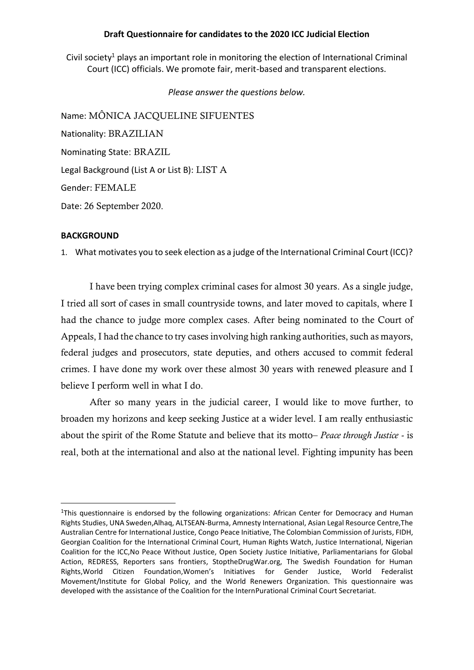## **Draft Questionnaire for candidates to the 2020 ICC Judicial Election**

Civil society<sup>1</sup> plays an important role in monitoring the election of International Criminal Court (ICC) officials. We promote fair, merit-based and transparent elections.

*Please answer the questions below.*

Name: MÔNICA JACQUELINE SIFUENTES Nationality: BRAZILIAN Nominating State: BRAZIL Legal Background (List A or List B): LIST A Gender: FEMALE Date: 26 September 2020.

### **BACKGROUND**

1. What motivates you to seek election as a judge of the International Criminal Court (ICC)?

I have been trying complex criminal cases for almost 30 years. As a single judge, I tried all sort of cases in small countryside towns, and later moved to capitals, where I had the chance to judge more complex cases. After being nominated to the Court of Appeals, I had the chance to try cases involving high ranking authorities, such as mayors, federal judges and prosecutors, state deputies, and others accused to commit federal crimes. I have done my work over these almost 30 years with renewed pleasure and I believe I perform well in what I do.

After so many years in the judicial career, I would like to move further, to broaden my horizons and keep seeking Justice at a wider level. I am really enthusiastic about the spirit of the Rome Statute and believe that its motto– *Peace through Justice* - is real, both at the international and also at the national level. Fighting impunity has been

<sup>&</sup>lt;sup>1</sup>This questionnaire is endorsed by the following organizations: African Center for Democracy and Human Rights Studies, UNA Sweden,Alhaq, ALTSEAN-Burma, Amnesty International, Asian Legal Resource Centre,The Australian Centre for International Justice, Congo Peace Initiative, The Colombian Commission of Jurists, FIDH, Georgian Coalition for the International Criminal Court, Human Rights Watch, Justice International, Nigerian Coalition for the ICC,No Peace Without Justice, Open Society Justice Initiative, Parliamentarians for Global Action, REDRESS, Reporters sans frontiers, StoptheDrugWar.org, The Swedish Foundation for Human Rights,World Citizen Foundation,Women's Initiatives for Gender Justice, World Federalist Movement/Institute for Global Policy, and the World Renewers Organization. This questionnaire was developed with the assistance of the Coalition for the InternPurational Criminal Court Secretariat.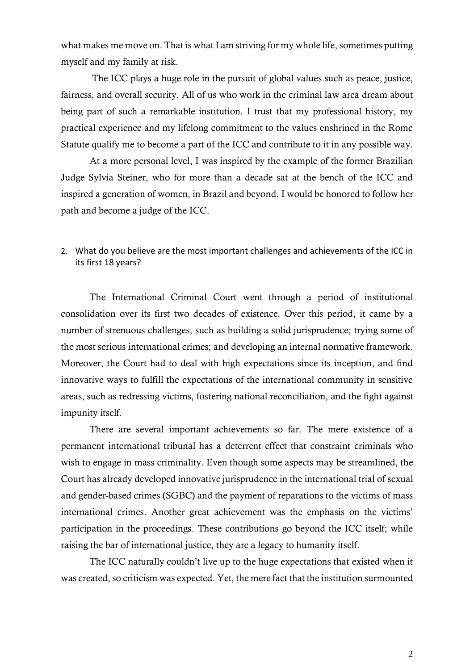what makes me move on. That is what I am striving for my whole life, sometimes putting myself and my family at risk.

The ICC plays a huge role in the pursuit of global values such as peace, justice, fairness, and overall security. All of us who work in the criminal law area dream about being part of such a remarkable institution. I trust that my professional history, my practical experience and my lifelong commitment to the values enshrined in the Rome Statute qualify me to become a part of the ICC and contribute to it in any possible way.

At a more personal level, I was inspired by the example of the former Brazilian Judge Sylvia Steiner, who for more than a decade sat at the bench of the ICC and inspired a generation of women, in Brazil and beyond. I would be honored to follow her path and become a judge of the ICC.

# 2. What do you believe are the most important challenges and achievements of the ICC in its first 18 years?

The International Criminal Court went through a period of institutional consolidation over its first two decades of existence. Over this period, it came by a number of strenuous challenges, such as building a solid jurisprudence; trying some of the most serious international crimes; and developing an internal normative framework. Moreover, the Court had to deal with high expectations since its inception, and find innovative ways to fulfill the expectations of the international community in sensitive areas, such as redressing victims, fostering national reconciliation, and the fight against impunity itself.

There are several important achievements so far. The mere existence of a permanent international tribunal has a deterrent effect that constraint criminals who wish to engage in mass criminality. Even though some aspects may be streamlined, the Court has already developed innovative jurisprudence in the international trial of sexual and gender-based crimes (SGBC) and the payment of reparations to the victims of mass international crimes. Another great achievement was the emphasis on the victims' participation in the proceedings. These contributions go beyond the ICC itself; while raising the bar of international justice, they are a legacy to humanity itself.

The ICC naturally couldn't live up to the huge expectations that existed when it was created, so criticism was expected. Yet, the mere fact that the institution surmounted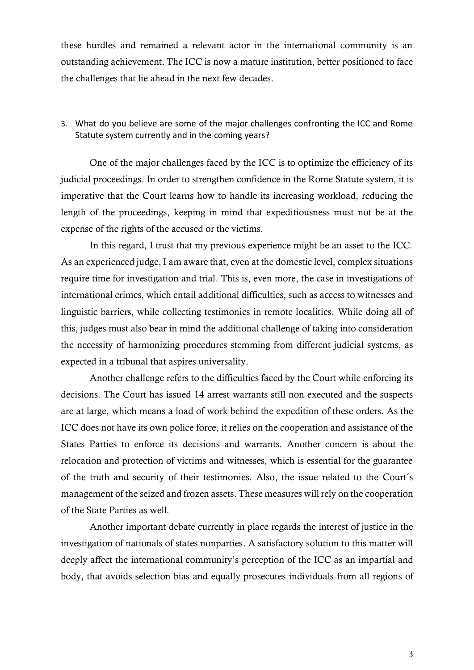these hurdles and remained a relevant actor in the international community is an outstanding achievement. The ICC is now a mature institution, better positioned to face the challenges that lie ahead in the next few decades.

# 3. What do you believe are some of the major challenges confronting the ICC and Rome Statute system currently and in the coming years?

One of the major challenges faced by the ICC is to optimize the efficiency of its judicial proceedings. In order to strengthen confidence in the Rome Statute system, it is imperative that the Court learns how to handle its increasing workload, reducing the length of the proceedings, keeping in mind that expeditiousness must not be at the expense of the rights of the accused or the victims.

In this regard, I trust that my previous experience might be an asset to the ICC. As an experienced judge, I am aware that, even at the domestic level, complex situations require time for investigation and trial. This is, even more, the case in investigations of international crimes, which entail additional difficulties, such as access to witnesses and linguistic barriers, while collecting testimonies in remote localities. While doing all of this, judges must also bear in mind the additional challenge of taking into consideration the necessity of harmonizing procedures stemming from different judicial systems, as expected in a tribunal that aspires universality.

Another challenge refers to the difficulties faced by the Court while enforcing its decisions. The Court has issued 14 arrest warrants still non executed and the suspects are at large, which means a load of work behind the expedition of these orders. As the ICC does not have its own police force, it relies on the cooperation and assistance of the States Parties to enforce its decisions and warrants. Another concern is about the relocation and protection of victims and witnesses, which is essential for the guarantee of the truth and security of their testimonies. Also, the issue related to the Court´s management of the seized and frozen assets. These measures will rely on the cooperation of the State Parties as well.

Another important debate currently in place regards the interest of justice in the investigation of nationals of states nonparties. A satisfactory solution to this matter will deeply affect the international community's perception of the ICC as an impartial and body, that avoids selection bias and equally prosecutes individuals from all regions of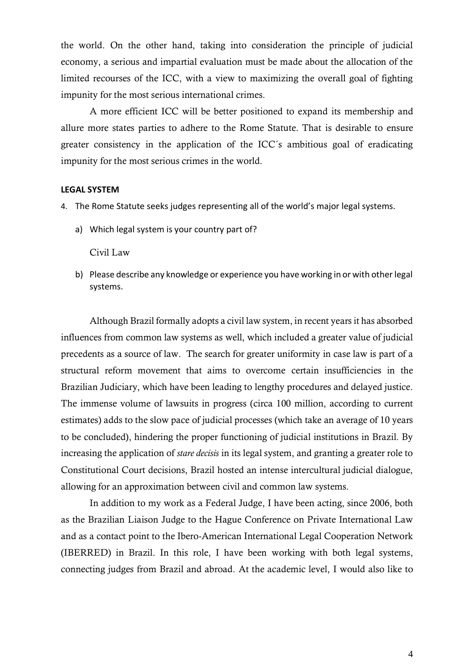the world. On the other hand, taking into consideration the principle of judicial economy, a serious and impartial evaluation must be made about the allocation of the limited recourses of the ICC, with a view to maximizing the overall goal of fighting impunity for the most serious international crimes.

A more efficient ICC will be better positioned to expand its membership and allure more states parties to adhere to the Rome Statute. That is desirable to ensure greater consistency in the application of the ICC´s ambitious goal of eradicating impunity for the most serious crimes in the world.

### **LEGAL SYSTEM**

- 4. The Rome Statute seeks judges representing all of the world's major legal systems.
	- a) Which legal system is your country part of?

### Civil Law

b) Please describe any knowledge or experience you have working in or with other legal systems.

Although Brazil formally adopts a civil law system, in recent years it has absorbed influences from common law systems as well, which included a greater value of judicial precedents as a source of law. The search for greater uniformity in case law is part of a structural reform movement that aims to overcome certain insufficiencies in the Brazilian Judiciary, which have been leading to lengthy procedures and delayed justice. The immense volume of lawsuits in progress (circa 100 million, according to current estimates) adds to the slow pace of judicial processes (which take an average of 10 years to be concluded), hindering the proper functioning of judicial institutions in Brazil. By increasing the application of *stare decisis* in its legal system, and granting a greater role to Constitutional Court decisions, Brazil hosted an intense intercultural judicial dialogue, allowing for an approximation between civil and common law systems.

In addition to my work as a Federal Judge, I have been acting, since 2006, both as the Brazilian Liaison Judge to the Hague Conference on Private International Law and as a contact point to the Ibero-American International Legal Cooperation Network (IBERRED) in Brazil. In this role, I have been working with both legal systems, connecting judges from Brazil and abroad. At the academic level, I would also like to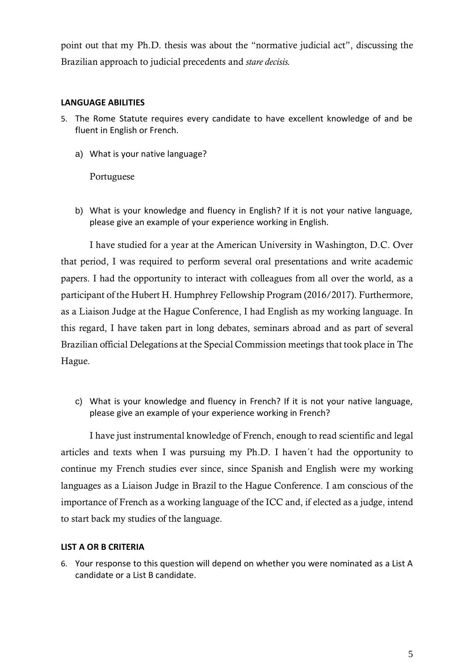point out that my Ph.D. thesis was about the "normative judicial act", discussing the Brazilian approach to judicial precedents and *stare decisis.* 

# **LANGUAGE ABILITIES**

- 5. The Rome Statute requires every candidate to have excellent knowledge of and be fluent in English or French.
	- a) What is your native language?

Portuguese

b) What is your knowledge and fluency in English? If it is not your native language, please give an example of your experience working in English.

I have studied for a year at the American University in Washington, D.C. Over that period, I was required to perform several oral presentations and write academic papers. I had the opportunity to interact with colleagues from all over the world, as a participant of the Hubert H. Humphrey Fellowship Program (2016/2017). Furthermore, as a Liaison Judge at the Hague Conference, I had English as my working language. In this regard, I have taken part in long debates, seminars abroad and as part of several Brazilian official Delegations at the Special Commission meetings that took place in The Hague.

c) What is your knowledge and fluency in French? If it is not your native language, please give an example of your experience working in French?

I have just instrumental knowledge of French, enough to read scientific and legal articles and texts when I was pursuing my Ph.D. I haven´t had the opportunity to continue my French studies ever since, since Spanish and English were my working languages as a Liaison Judge in Brazil to the Hague Conference. I am conscious of the importance of French as a working language of the ICC and, if elected as a judge, intend to start back my studies of the language.

## **LIST A OR B CRITERIA**

6. Your response to this question will depend on whether you were nominated as a List A candidate or a List B candidate.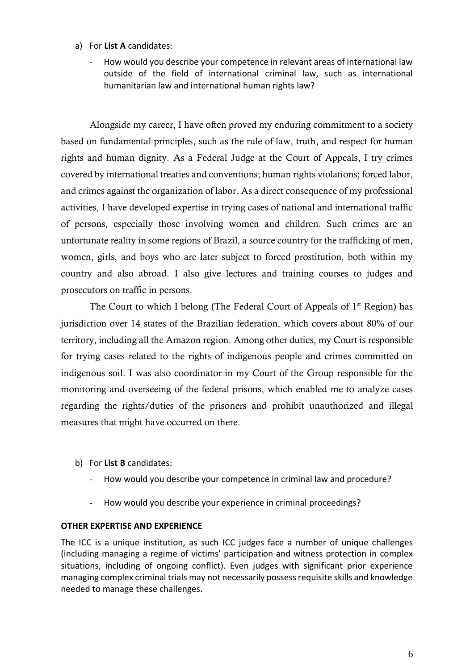- a) For **List A** candidates:
	- How would you describe your competence in relevant areas of international law outside of the field of international criminal law, such as international humanitarian law and international human rights law?

Alongside my career, I have often proved my enduring commitment to a society based on fundamental principles, such as the rule of law, truth, and respect for human rights and human dignity. As a Federal Judge at the Court of Appeals, I try crimes covered by international treaties and conventions; human rights violations; forced labor, and crimes against the organization of labor. As a direct consequence of my professional activities, I have developed expertise in trying cases of national and international traffic of persons, especially those involving women and children. Such crimes are an unfortunate reality in some regions of Brazil, a source country for the trafficking of men, women, girls, and boys who are later subject to forced prostitution, both within my country and also abroad. I also give lectures and training courses to judges and prosecutors on traffic in persons.

The Court to which I belong (The Federal Court of Appeals of  $1<sup>st</sup>$  Region) has jurisdiction over 14 states of the Brazilian federation, which covers about 80% of our territory, including all the Amazon region. Among other duties, my Court is responsible for trying cases related to the rights of indigenous people and crimes committed on indigenous soil. I was also coordinator in my Court of the Group responsible for the monitoring and overseeing of the federal prisons, which enabled me to analyze cases regarding the rights/duties of the prisoners and prohibit unauthorized and illegal measures that might have occurred on there.

- b) For **List B** candidates:
	- How would you describe your competence in criminal law and procedure?
	- How would you describe your experience in criminal proceedings?

## **OTHER EXPERTISE AND EXPERIENCE**

The ICC is a unique institution, as such ICC judges face a number of unique challenges (including managing a regime of victims' participation and witness protection in complex situations, including of ongoing conflict). Even judges with significant prior experience managing complex criminal trials may not necessarily possess requisite skills and knowledge needed to manage these challenges.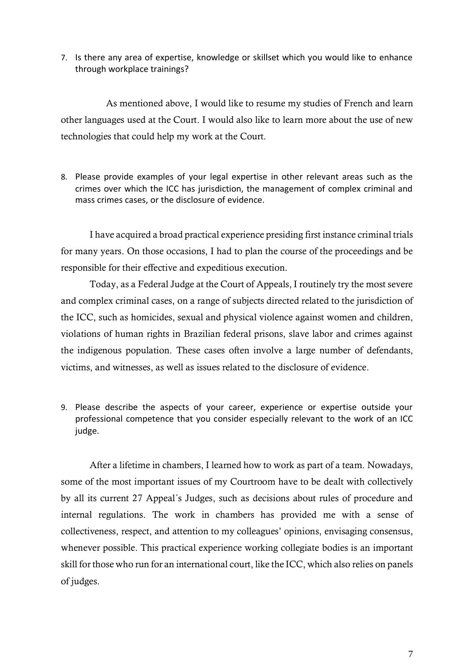7. Is there any area of expertise, knowledge or skillset which you would like to enhance through workplace trainings?

As mentioned above, I would like to resume my studies of French and learn other languages used at the Court. I would also like to learn more about the use of new technologies that could help my work at the Court.

8. Please provide examples of your legal expertise in other relevant areas such as the crimes over which the ICC has jurisdiction, the management of complex criminal and mass crimes cases, or the disclosure of evidence.

I have acquired a broad practical experience presiding first instance criminal trials for many years. On those occasions, I had to plan the course of the proceedings and be responsible for their effective and expeditious execution.

Today, as a Federal Judge at the Court of Appeals, I routinely try the most severe and complex criminal cases, on a range of subjects directed related to the jurisdiction of the ICC, such as homicides, sexual and physical violence against women and children, violations of human rights in Brazilian federal prisons, slave labor and crimes against the indigenous population. These cases often involve a large number of defendants, victims, and witnesses, as well as issues related to the disclosure of evidence.

9. Please describe the aspects of your career, experience or expertise outside your professional competence that you consider especially relevant to the work of an ICC judge.

After a lifetime in chambers, I learned how to work as part of a team. Nowadays, some of the most important issues of my Courtroom have to be dealt with collectively by all its current 27 Appeal´s Judges, such as decisions about rules of procedure and internal regulations. The work in chambers has provided me with a sense of collectiveness, respect, and attention to my colleagues' opinions, envisaging consensus, whenever possible. This practical experience working collegiate bodies is an important skill for those who run for an international court, like the ICC, which also relies on panels of judges.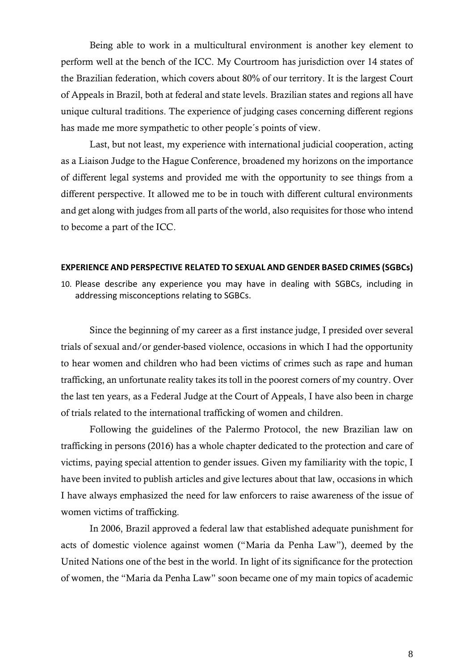Being able to work in a multicultural environment is another key element to perform well at the bench of the ICC. My Courtroom has jurisdiction over 14 states of the Brazilian federation, which covers about 80% of our territory. It is the largest Court of Appeals in Brazil, both at federal and state levels. Brazilian states and regions all have unique cultural traditions. The experience of judging cases concerning different regions has made me more sympathetic to other people´s points of view.

Last, but not least, my experience with international judicial cooperation, acting as a Liaison Judge to the Hague Conference, broadened my horizons on the importance of different legal systems and provided me with the opportunity to see things from a different perspective. It allowed me to be in touch with different cultural environments and get along with judges from all parts of the world, also requisites for those who intend to become a part of the ICC.

## **EXPERIENCE AND PERSPECTIVE RELATED TO SEXUAL AND GENDER BASED CRIMES (SGBCs)**

10. Please describe any experience you may have in dealing with SGBCs, including in addressing misconceptions relating to SGBCs.

Since the beginning of my career as a first instance judge, I presided over several trials of sexual and/or gender-based violence, occasions in which I had the opportunity to hear women and children who had been victims of crimes such as rape and human trafficking, an unfortunate reality takes its toll in the poorest corners of my country. Over the last ten years, as a Federal Judge at the Court of Appeals, I have also been in charge of trials related to the international trafficking of women and children.

Following the guidelines of the Palermo Protocol, the new Brazilian law on trafficking in persons (2016) has a whole chapter dedicated to the protection and care of victims, paying special attention to gender issues. Given my familiarity with the topic, I have been invited to publish articles and give lectures about that law, occasions in which I have always emphasized the need for law enforcers to raise awareness of the issue of women victims of trafficking.

In 2006, Brazil approved a federal law that established adequate punishment for acts of domestic violence against women ("Maria da Penha Law"), deemed by the United Nations one of the best in the world. In light of its significance for the protection of women, the "Maria da Penha Law" soon became one of my main topics of academic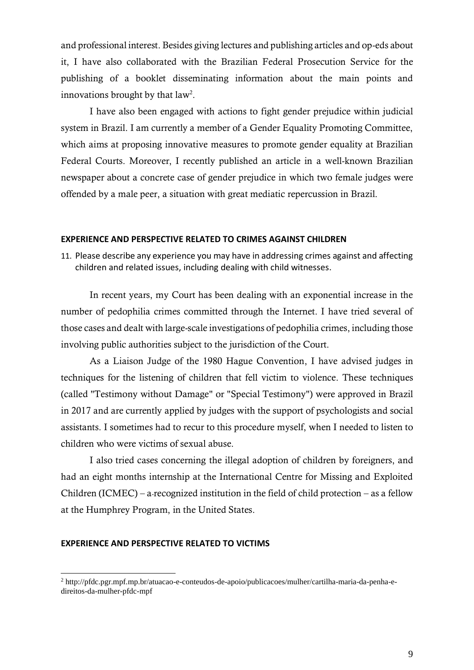and professional interest. Besides giving lectures and publishing articles and op-eds about it, I have also collaborated with the Brazilian Federal Prosecution Service for the publishing of a booklet disseminating information about the main points and innovations brought by that  $law<sup>2</sup>$ .

I have also been engaged with actions to fight gender prejudice within judicial system in Brazil. I am currently a member of a Gender Equality Promoting Committee, which aims at proposing innovative measures to promote gender equality at Brazilian Federal Courts. Moreover, I recently published an article in a well-known Brazilian newspaper about a concrete case of gender prejudice in which two female judges were offended by a male peer, a situation with great mediatic repercussion in Brazil.

## **EXPERIENCE AND PERSPECTIVE RELATED TO CRIMES AGAINST CHILDREN**

11. Please describe any experience you may have in addressing crimes against and affecting children and related issues, including dealing with child witnesses.

In recent years, my Court has been dealing with an exponential increase in the number of pedophilia crimes committed through the Internet. I have tried several of those cases and dealt with large-scale investigations of pedophilia crimes, including those involving public authorities subject to the jurisdiction of the Court.

As a Liaison Judge of the 1980 Hague Convention, I have advised judges in techniques for the listening of children that fell victim to violence. These techniques (called "Testimony without Damage" or "Special Testimony") were approved in Brazil in 2017 and are currently applied by judges with the support of psychologists and social assistants. I sometimes had to recur to this procedure myself, when I needed to listen to children who were victims of sexual abuse.

I also tried cases concerning the illegal adoption of children by foreigners, and had an eight months internship at the International Centre for Missing and Exploited Children (ICMEC) – a-recognized institution in the field of child protection – as a fellow at the Humphrey Program, in the United States.

### **EXPERIENCE AND PERSPECTIVE RELATED TO VICTIMS**

<sup>2</sup> http://pfdc.pgr.mpf.mp.br/atuacao-e-conteudos-de-apoio/publicacoes/mulher/cartilha-maria-da-penha-edireitos-da-mulher-pfdc-mpf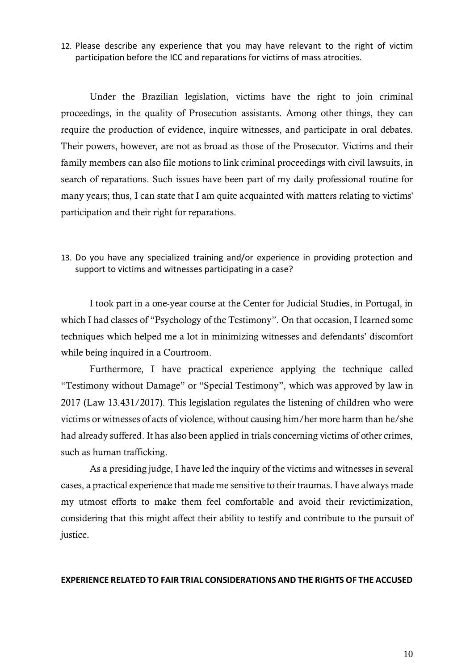12. Please describe any experience that you may have relevant to the right of victim participation before the ICC and reparations for victims of mass atrocities.

Under the Brazilian legislation, victims have the right to join criminal proceedings, in the quality of Prosecution assistants. Among other things, they can require the production of evidence, inquire witnesses, and participate in oral debates. Their powers, however, are not as broad as those of the Prosecutor. Victims and their family members can also file motions to link criminal proceedings with civil lawsuits, in search of reparations. Such issues have been part of my daily professional routine for many years; thus, I can state that I am quite acquainted with matters relating to victims' participation and their right for reparations.

13. Do you have any specialized training and/or experience in providing protection and support to victims and witnesses participating in a case?

I took part in a one-year course at the Center for Judicial Studies, in Portugal, in which I had classes of "Psychology of the Testimony". On that occasion, I learned some techniques which helped me a lot in minimizing witnesses and defendants' discomfort while being inquired in a Courtroom.

Furthermore, I have practical experience applying the technique called "Testimony without Damage" or "Special Testimony", which was approved by law in 2017 (Law 13.431/2017). This legislation regulates the listening of children who were victims or witnesses of acts of violence, without causing him/her more harm than he/she had already suffered. It has also been applied in trials concerning victims of other crimes, such as human trafficking.

As a presiding judge, I have led the inquiry of the victims and witnesses in several cases, a practical experience that made me sensitive to their traumas. I have always made my utmost efforts to make them feel comfortable and avoid their revictimization, considering that this might affect their ability to testify and contribute to the pursuit of justice.

### **EXPERIENCE RELATED TO FAIR TRIAL CONSIDERATIONS AND THE RIGHTS OF THE ACCUSED**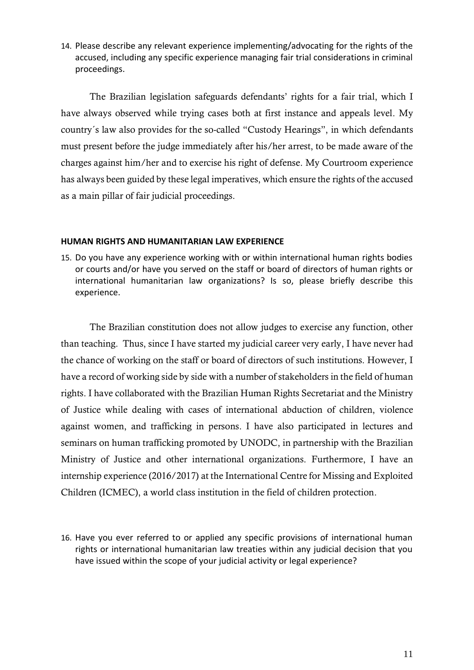14. Please describe any relevant experience implementing/advocating for the rights of the accused, including any specific experience managing fair trial considerations in criminal proceedings.

The Brazilian legislation safeguards defendants' rights for a fair trial, which I have always observed while trying cases both at first instance and appeals level. My country´s law also provides for the so-called "Custody Hearings", in which defendants must present before the judge immediately after his/her arrest, to be made aware of the charges against him/her and to exercise his right of defense. My Courtroom experience has always been guided by these legal imperatives, which ensure the rights of the accused as a main pillar of fair judicial proceedings.

## **HUMAN RIGHTS AND HUMANITARIAN LAW EXPERIENCE**

15. Do you have any experience working with or within international human rights bodies or courts and/or have you served on the staff or board of directors of human rights or international humanitarian law organizations? Is so, please briefly describe this experience.

The Brazilian constitution does not allow judges to exercise any function, other than teaching. Thus, since I have started my judicial career very early, I have never had the chance of working on the staff or board of directors of such institutions. However, I have a record of working side by side with a number of stakeholders in the field of human rights. I have collaborated with the Brazilian Human Rights Secretariat and the Ministry of Justice while dealing with cases of international abduction of children, violence against women, and trafficking in persons. I have also participated in lectures and seminars on human trafficking promoted by UNODC, in partnership with the Brazilian Ministry of Justice and other international organizations. Furthermore, I have an internship experience (2016/2017) at the International Centre for Missing and Exploited Children (ICMEC), a world class institution in the field of children protection.

16. Have you ever referred to or applied any specific provisions of international human rights or international humanitarian law treaties within any judicial decision that you have issued within the scope of your judicial activity or legal experience?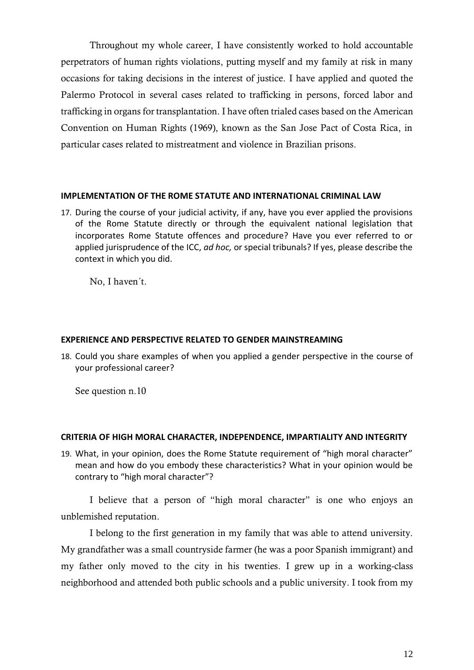Throughout my whole career, I have consistently worked to hold accountable perpetrators of human rights violations, putting myself and my family at risk in many occasions for taking decisions in the interest of justice. I have applied and quoted the Palermo Protocol in several cases related to trafficking in persons, forced labor and trafficking in organs for transplantation. I have often trialed cases based on the American Convention on Human Rights (1969), known as the San Jose Pact of Costa Rica, in particular cases related to mistreatment and violence in Brazilian prisons.

### **IMPLEMENTATION OF THE ROME STATUTE AND INTERNATIONAL CRIMINAL LAW**

17. During the course of your judicial activity, if any, have you ever applied the provisions of the Rome Statute directly or through the equivalent national legislation that incorporates Rome Statute offences and procedure? Have you ever referred to or applied jurisprudence of the ICC, *ad hoc,* or special tribunals? If yes, please describe the context in which you did.

No, I haven´t.

## **EXPERIENCE AND PERSPECTIVE RELATED TO GENDER MAINSTREAMING**

18. Could you share examples of when you applied a gender perspective in the course of your professional career?

See question n.10

#### **CRITERIA OF HIGH MORAL CHARACTER, INDEPENDENCE, IMPARTIALITY AND INTEGRITY**

19. What, in your opinion, does the Rome Statute requirement of "high moral character" mean and how do you embody these characteristics? What in your opinion would be contrary to "high moral character"?

I believe that a person of "high moral character" is one who enjoys an unblemished reputation.

I belong to the first generation in my family that was able to attend university. My grandfather was a small countryside farmer (he was a poor Spanish immigrant) and my father only moved to the city in his twenties. I grew up in a working-class neighborhood and attended both public schools and a public university. I took from my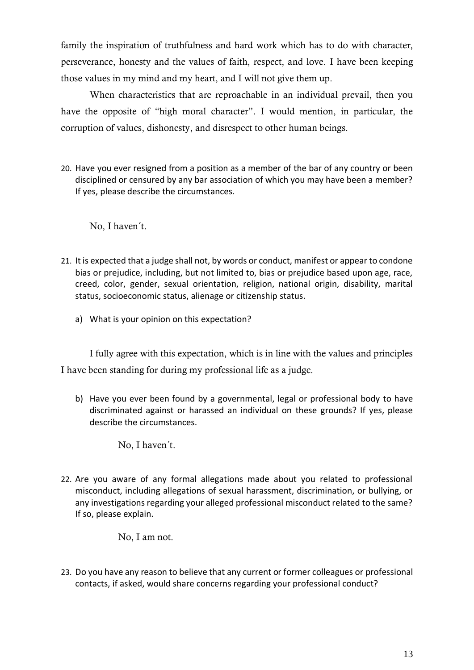family the inspiration of truthfulness and hard work which has to do with character, perseverance, honesty and the values of faith, respect, and love. I have been keeping those values in my mind and my heart, and I will not give them up.

When characteristics that are reproachable in an individual prevail, then you have the opposite of "high moral character". I would mention, in particular, the corruption of values, dishonesty, and disrespect to other human beings.

20. Have you ever resigned from a position as a member of the bar of any country or been disciplined or censured by any bar association of which you may have been a member? If yes, please describe the circumstances.

No, I haven´t.

- 21. It is expected that a judge shall not, by words or conduct, manifest or appear to condone bias or prejudice, including, but not limited to, bias or prejudice based upon age, race, creed, color, gender, sexual orientation, religion, national origin, disability, marital status, socioeconomic status, alienage or citizenship status.
	- a) What is your opinion on this expectation?

I fully agree with this expectation, which is in line with the values and principles I have been standing for during my professional life as a judge.

b) Have you ever been found by a governmental, legal or professional body to have discriminated against or harassed an individual on these grounds? If yes, please describe the circumstances.

No, I haven´t.

22. Are you aware of any formal allegations made about you related to professional misconduct, including allegations of sexual harassment, discrimination, or bullying, or any investigations regarding your alleged professional misconduct related to the same? If so, please explain.

No, I am not.

23. Do you have any reason to believe that any current or former colleagues or professional contacts, if asked, would share concerns regarding your professional conduct?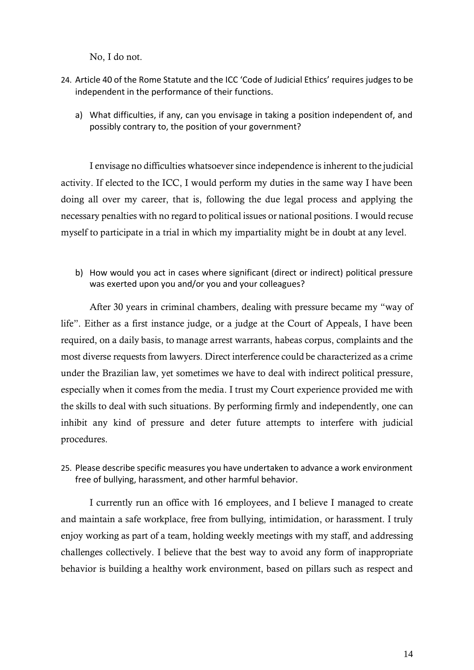No, I do not.

- 24. Article 40 of the Rome Statute and the ICC 'Code of Judicial Ethics' requires judges to be independent in the performance of their functions.
	- a) What difficulties, if any, can you envisage in taking a position independent of, and possibly contrary to, the position of your government?

I envisage no difficulties whatsoever since independence is inherent to the judicial activity. If elected to the ICC, I would perform my duties in the same way I have been doing all over my career, that is, following the due legal process and applying the necessary penalties with no regard to political issues or national positions. I would recuse myself to participate in a trial in which my impartiality might be in doubt at any level.

b) How would you act in cases where significant (direct or indirect) political pressure was exerted upon you and/or you and your colleagues?

After 30 years in criminal chambers, dealing with pressure became my "way of life". Either as a first instance judge, or a judge at the Court of Appeals, I have been required, on a daily basis, to manage arrest warrants, habeas corpus, complaints and the most diverse requests from lawyers. Direct interference could be characterized as a crime under the Brazilian law, yet sometimes we have to deal with indirect political pressure, especially when it comes from the media. I trust my Court experience provided me with the skills to deal with such situations. By performing firmly and independently, one can inhibit any kind of pressure and deter future attempts to interfere with judicial procedures.

25. Please describe specific measures you have undertaken to advance a work environment free of bullying, harassment, and other harmful behavior.

I currently run an office with 16 employees, and I believe I managed to create and maintain a safe workplace, free from bullying, intimidation, or harassment. I truly enjoy working as part of a team, holding weekly meetings with my staff, and addressing challenges collectively. I believe that the best way to avoid any form of inappropriate behavior is building a healthy work environment, based on pillars such as respect and